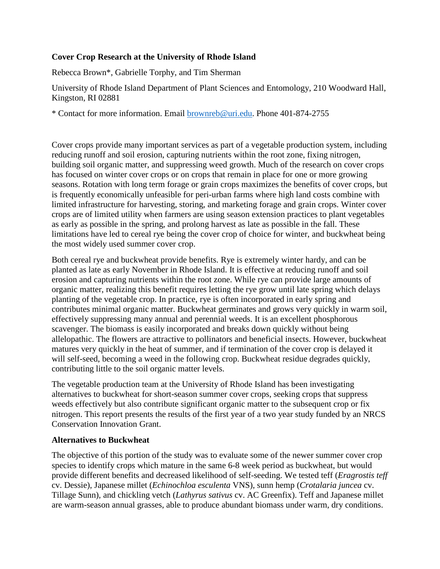## **Cover Crop Research at the University of Rhode Island**

Rebecca Brown\*, Gabrielle Torphy, and Tim Sherman

University of Rhode Island Department of Plant Sciences and Entomology, 210 Woodward Hall, Kingston, RI 02881

\* Contact for more information. Email [brownreb@uri.edu.](mailto:brownreb@uri.edu) Phone 401-874-2755

Cover crops provide many important services as part of a vegetable production system, including reducing runoff and soil erosion, capturing nutrients within the root zone, fixing nitrogen, building soil organic matter, and suppressing weed growth. Much of the research on cover crops has focused on winter cover crops or on crops that remain in place for one or more growing seasons. Rotation with long term forage or grain crops maximizes the benefits of cover crops, but is frequently economically unfeasible for peri-urban farms where high land costs combine with limited infrastructure for harvesting, storing, and marketing forage and grain crops. Winter cover crops are of limited utility when farmers are using season extension practices to plant vegetables as early as possible in the spring, and prolong harvest as late as possible in the fall. These limitations have led to cereal rye being the cover crop of choice for winter, and buckwheat being the most widely used summer cover crop.

Both cereal rye and buckwheat provide benefits. Rye is extremely winter hardy, and can be planted as late as early November in Rhode Island. It is effective at reducing runoff and soil erosion and capturing nutrients within the root zone. While rye can provide large amounts of organic matter, realizing this benefit requires letting the rye grow until late spring which delays planting of the vegetable crop. In practice, rye is often incorporated in early spring and contributes minimal organic matter. Buckwheat germinates and grows very quickly in warm soil, effectively suppressing many annual and perennial weeds. It is an excellent phosphorous scavenger. The biomass is easily incorporated and breaks down quickly without being allelopathic. The flowers are attractive to pollinators and beneficial insects. However, buckwheat matures very quickly in the heat of summer, and if termination of the cover crop is delayed it will self-seed, becoming a weed in the following crop. Buckwheat residue degrades quickly, contributing little to the soil organic matter levels.

The vegetable production team at the University of Rhode Island has been investigating alternatives to buckwheat for short-season summer cover crops, seeking crops that suppress weeds effectively but also contribute significant organic matter to the subsequent crop or fix nitrogen. This report presents the results of the first year of a two year study funded by an NRCS Conservation Innovation Grant.

### **Alternatives to Buckwheat**

The objective of this portion of the study was to evaluate some of the newer summer cover crop species to identify crops which mature in the same 6-8 week period as buckwheat, but would provide different benefits and decreased likelihood of self-seeding. We tested teff (*Eragrostis teff* cv. Dessie), Japanese millet (*Echinochloa esculenta* VNS), sunn hemp (*Crotalaria juncea* cv. Tillage Sunn), and chickling vetch (*Lathyrus sativus* cv. AC Greenfix). Teff and Japanese millet are warm-season annual grasses, able to produce abundant biomass under warm, dry conditions.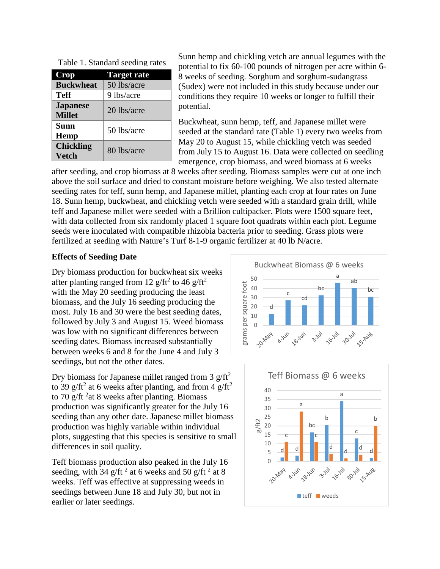| Crop                             | <b>Target rate</b> |
|----------------------------------|--------------------|
| <b>Buckwheat</b>                 | 50 lbs/acre        |
| Teff                             | 9 lbs/acre         |
| <b>Japanese</b><br><b>Millet</b> | 20 lbs/acre        |
| Sunn<br>Hemp                     | 50 lbs/acre        |
| <b>Chickling</b><br>Vetch        | 80 lbs/acre        |

| Table 1. Standard seeding rates |
|---------------------------------|
|                                 |

Sunn hemp and chickling vetch are annual legumes with the potential to fix 60-100 pounds of nitrogen per acre within 6- 8 weeks of seeding. Sorghum and sorghum-sudangrass (Sudex) were not included in this study because under our conditions they require 10 weeks or longer to fulfill their potential.

Buckwheat, sunn hemp, teff, and Japanese millet were seeded at the standard rate (Table 1) every two weeks from May 20 to August 15, while chickling vetch was seeded from July 15 to August 16. Data were collected on seedling emergence, crop biomass, and weed biomass at 6 weeks

after seeding, and crop biomass at 8 weeks after seeding. Biomass samples were cut at one inch above the soil surface and dried to constant moisture before weighing. We also tested alternate seeding rates for teff, sunn hemp, and Japanese millet, planting each crop at four rates on June 18. Sunn hemp, buckwheat, and chickling vetch were seeded with a standard grain drill, while teff and Japanese millet were seeded with a Brillion cultipacker. Plots were 1500 square feet, with data collected from six randomly placed 1 square foot quadrats within each plot. Legume seeds were inoculated with compatible rhizobia bacteria prior to seeding. Grass plots were fertilized at seeding with Nature's Turf 8-1-9 organic fertilizer at 40 lb N/acre.

#### **Effects of Seeding Date**

Dry biomass production for buckwheat six weeks after planting ranged from 12  $g/ft^2$  to 46  $g/ft^2$ with the May 20 seeding producing the least biomass, and the July 16 seeding producing the most. July 16 and 30 were the best seeding dates, followed by July 3 and August 15. Weed biomass was low with no significant differences between seeding dates. Biomass increased substantially between weeks 6 and 8 for the June 4 and July 3 seedings, but not the other dates.

Dry biomass for Japanese millet ranged from 3  $g/ft^2$ to 39 g/ft<sup>2</sup> at 6 weeks after planting, and from 4 g/ft<sup>2</sup> to 70 g/ft  $2$  at 8 weeks after planting. Biomass production was significantly greater for the July 16 seeding than any other date. Japanese millet biomass production was highly variable within individual plots, suggesting that this species is sensitive to small differences in soil quality.

Teff biomass production also peaked in the July 16 seeding, with 34 g/ft<sup>2</sup> at 6 weeks and 50 g/ft<sup>2</sup> at 8 weeks. Teff was effective at suppressing weeds in seedings between June 18 and July 30, but not in earlier or later seedings.